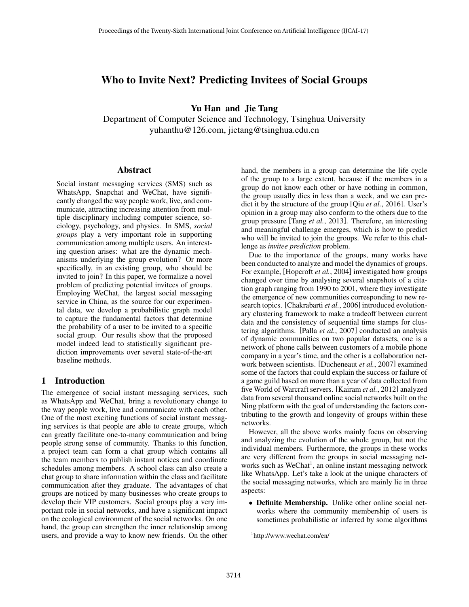# Who to Invite Next? Predicting Invitees of Social Groups

Yu Han and Jie Tang

Department of Computer Science and Technology, Tsinghua University yuhanthu@126.com, jietang@tsinghua.edu.cn

### Abstract

Social instant messaging services (SMS) such as WhatsApp, Snapchat and WeChat, have significantly changed the way people work, live, and communicate, attracting increasing attention from multiple disciplinary including computer science, sociology, psychology, and physics. In SMS, *social groups* play a very important role in supporting communication among multiple users. An interesting question arises: what are the dynamic mechanisms underlying the group evolution? Or more specifically, in an existing group, who should be invited to join? In this paper, we formalize a novel problem of predicting potential invitees of groups. Employing WeChat, the largest social messaging service in China, as the source for our experimental data, we develop a probabilistic graph model to capture the fundamental factors that determine the probability of a user to be invited to a specific social group. Our results show that the proposed model indeed lead to statistically significant prediction improvements over several state-of-the-art baseline methods.

# 1 Introduction

The emergence of social instant messaging services, such as WhatsApp and WeChat, bring a revolutionary change to the way people work, live and communicate with each other. One of the most exciting functions of social instant messaging services is that people are able to create groups, which can greatly facilitate one-to-many communication and bring people strong sense of community. Thanks to this function, a project team can form a chat group which contains all the team members to publish instant notices and coordinate schedules among members. A school class can also create a chat group to share information within the class and facilitate communication after they graduate. The advantages of chat groups are noticed by many businesses who create groups to develop their VIP customers. Social groups play a very important role in social networks, and have a significant impact on the ecological environment of the social networks. On one hand, the group can strengthen the inner relationship among users, and provide a way to know new friends. On the other hand, the members in a group can determine the life cycle of the group to a large extent, because if the members in a group do not know each other or have nothing in common, the group usually dies in less than a week, and we can predict it by the structure of the group [Qiu *et al.*, 2016]. User's opinion in a group may also conform to the others due to the group pressure [Tang *et al.*, 2013]. Therefore, an interesting and meaningful challenge emerges, which is how to predict who will be invited to join the groups. We refer to this challenge as *invitee prediction* problem.

Due to the importance of the groups, many works have been conducted to analyze and model the dynamics of groups. For example, [Hopcroft *et al.*, 2004] investigated how groups changed over time by analysing several snapshots of a citation graph ranging from 1990 to 2001, where they investigate the emergence of new communities corresponding to new research topics. [Chakrabarti *et al.*, 2006] introduced evolutionary clustering framework to make a tradeoff between current data and the consistency of sequential time stamps for clustering algorithms. [Palla *et al.*, 2007] conducted an analysis of dynamic communities on two popular datasets, one is a network of phone calls between customers of a mobile phone company in a year's time, and the other is a collaboration network between scientists. [Ducheneaut *et al.*, 2007] examined some of the factors that could explain the success or failure of a game guild based on more than a year of data collected from five World of Warcraft servers. [Kairam *et al.*, 2012] analyzed data from several thousand online social networks built on the Ning platform with the goal of understanding the factors contributing to the growth and longevity of groups within these networks.

However, all the above works mainly focus on observing and analyzing the evolution of the whole group, but not the individual members. Furthermore, the groups in these works are very different from the groups in social messaging networks such as WeChat<sup>1</sup>, an online instant messaging network like WhatsApp. Let's take a look at the unique characters of the social messaging networks, which are mainly lie in three aspects:

• Definite Membership. Unlike other online social networks where the community membership of users is sometimes probabilistic or inferred by some algorithms

<sup>1</sup> http://www.wechat.com/en/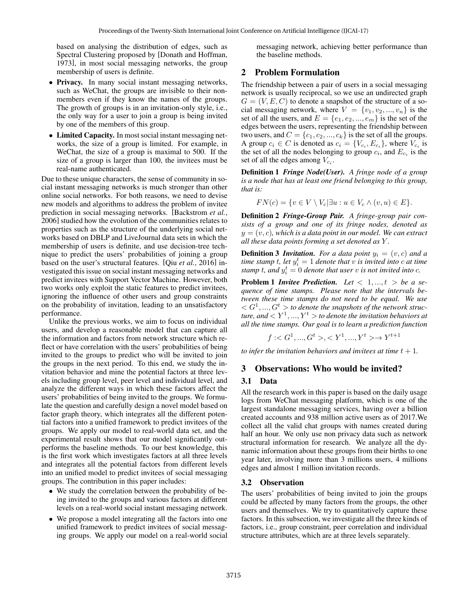based on analysing the distribution of edges, such as Spectral Clustering proposed by [Donath and Hoffman, 1973], in most social messaging networks, the group membership of users is definite.

- Privacy. In many social instant messaging networks, such as WeChat, the groups are invisible to their nonmembers even if they know the names of the groups. The growth of groups is in an invitation-only style, i.e., the only way for a user to join a group is being invited by one of the members of this group.
- Limited Capacity. In most social instant messaging networks, the size of a group is limited. For example, in WeChat, the size of a group is maximal to 500. If the size of a group is larger than 100, the invitees must be real-name authenticated.

Due to these unique characters, the sense of community in social instant messaging networks is much stronger than other online social networks. For both reasons, we need to devise new models and algorithms to address the problem of invitee prediction in social messaging networks. [Backstrom *et al.*, 2006] studied how the evolution of the communities relates to properties such as the structure of the underlying social networks based on DBLP and LiveJournal data sets in which the membership of users is definite, and use decision-tree technique to predict the users' probabilities of joining a group based on the user's structural features. [Qiu *et al.*, 2016] investigated this issue on social instant messaging networks and predict invitees with Support Vector Machine. However, both two works only exploit the static features to predict invitees, ignoring the influence of other users and group constraints on the probability of invitation, leading to an unsatisfactory performance.

Unlike the previous works, we aim to focus on individual users, and develop a reasonable model that can capture all the information and factors from network structure which reflect or have correlation with the users' probabilities of being invited to the groups to predict who will be invited to join the groups in the next period. To this end, we study the invitation behavior and mine the potential factors at three levels including group level, peer level and individual level, and analyze the different ways in which these factors affect the users' probabilities of being invited to the groups. We formulate the question and carefully design a novel model based on factor graph theory, which integrates all the different potential factors into a unified framework to predict invitees of the groups. We apply our model to real-world data set, and the experimental result shows that our model significantly outperforms the baseline methods. To our best knowledge, this is the first work which investigates factors at all three levels and integrates all the potential factors from different levels into an unified model to predict invitees of social messaging groups. The contribution in this paper includes:

- We study the correlation between the probability of being invited to the groups and various factors at different levels on a real-world social instant messaging network.
- We propose a model integrating all the factors into one unified framework to predict invitees of social messaging groups. We apply our model on a real-world social

messaging network, achieving better performance than the baseline methods.

## 2 Problem Formulation

The friendship between a pair of users in a social messaging network is usually reciprocal, so we use an undirected graph  $G = (V, E, C)$  to denote a snapshot of the structure of a social messaging network, where  $V = \{v_1, v_2, ..., v_n\}$  is the set of all the users, and  $E = \{e_1, e_2, ..., e_m\}$  is the set of the edges between the users, representing the friendship between two users, and  $C = \{c_1, c_2, ..., c_k\}$  is the set of all the groups. A group  $c_i \in C$  is denoted as  $c_i = \{V_{c_i}, E_{c_i}\}$ , where  $V_{c_i}$  is the set of all the nodes belonging to group  $c_i$ , and  $E_{c_i}$  is the set of all the edges among  $V_{c_i}$ .

Definition 1 *Fringe Node(User). A fringe node of a group is a node that has at least one friend belonging to this group, that is:*

$$
FN(c) = \{ v \in V \setminus V_c | \exists u : u \in V_c \land (v, u) \in E \}.
$$

Definition 2 *Fringe-Group Pair. A fringe-group pair consists of a group and one of its fringe nodes, denoted as*  $y = (v, c)$ , which is a data point in our model. We can extract *all these data points forming a set denoted as* Y *.*

**Definition 3 Invitation.** For a data point  $y_i = (v, c)$  and a  $time$  *stamp*  $t$ *, let*  $y_i^t = 1$  *denote that*  $\hat{v}$  *is invited into c at time* stamp t, and  $y_i^t = 0$  denote that user v is not invited into c.

**Problem 1 Invitee Prediction.** Let  $\langle 1, ..., t \rangle$  be a se*quence of time stamps. Please note that the intervals between these time stamps do not need to be equal. We use*  $<$   $G$ <sup>1</sup>, ...,  $G$ <sup>t</sup>  $>$  to denote the snapshots of the network struc $t$ ure, and  $<$   $Y^1,...,Y^t$   $>$  to denote the invitation behaviors at *all the time stamps. Our goal is to learn a prediction function*

$$
f: ,  \rightarrow Y^{t+1}
$$

*to infer the invitation behaviors and invitees at time*  $t + 1$ *.* 

### 3 Observations: Who would be invited?

#### 3.1 Data

All the research work in this paper is based on the daily usage logs from WeChat messaging platform, which is one of the largest standalone messaging services, having over a billion created accounts and 938 million active users as of 2017.We collect all the valid chat groups with names created during half an hour. We only use non privacy data such as network structural information for research. We analyze all the dynamic information about these groups from their births to one year later, involving more than 3 millions users, 4 millions edges and almost 1 million invitation records.

### 3.2 Observation

The users' probabilities of being invited to join the groups could be affected by many factors from the groups, the other users and themselves. We try to quantitatively capture these factors. In this subsection, we investigate all the three kinds of factors, i.e., group constraint, peer correlation and individual structure attributes, which are at three levels separately.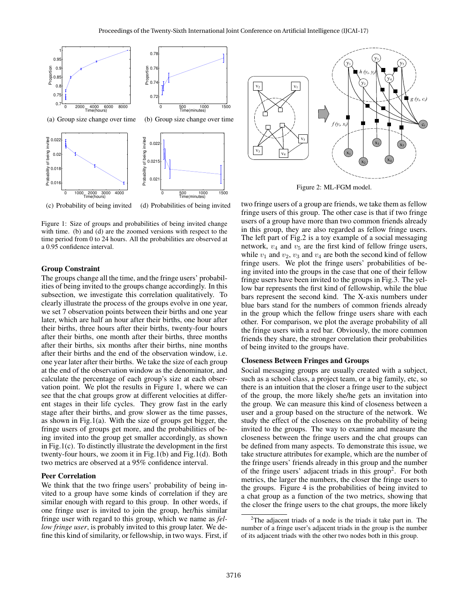

Figure 1: Size of groups and probabilities of being invited change with time. (b) and (d) are the zoomed versions with respect to the time period from 0 to 24 hours. All the probabilities are observed at a 0.95 confidence interval.

#### Group Constraint

The groups change all the time, and the fringe users' probabilities of being invited to the groups change accordingly. In this subsection, we investigate this correlation qualitatively. To clearly illustrate the process of the groups evolve in one year, we set 7 observation points between their births and one year later, which are half an hour after their births, one hour after their births, three hours after their births, twenty-four hours after their births, one month after their births, three months after their births, six months after their births, nine months after their births and the end of the observation window, i.e. one year later after their births. We take the size of each group at the end of the observation window as the denominator, and calculate the percentage of each group's size at each observation point. We plot the results in Figure 1, where we can see that the chat groups grow at different velocities at different stages in their life cycles. They grow fast in the early stage after their births, and grow slower as the time passes, as shown in Fig.1(a). With the size of groups get bigger, the fringe users of groups get more, and the probabilities of being invited into the group get smaller accordingly, as shown in Fig.1(c). To distinctly illustrate the development in the first twenty-four hours, we zoom it in Fig.1(b) and Fig.1(d). Both two metrics are observed at a 95% confidence interval.

### Peer Correlation

We think that the two fringe users' probability of being invited to a group have some kinds of correlation if they are similar enough with regard to this group. In other words, if one fringe user is invited to join the group, her/his similar fringe user with regard to this group, which we name as *fellow fringe user*, is probably invited to this group later. We define this kind of similarity, or fellowship, in two ways. First, if



Figure 2: ML-FGM model.

two fringe users of a group are friends, we take them as fellow fringe users of this group. The other case is that if two fringe users of a group have more than two common friends already in this group, they are also regarded as fellow fringe users. The left part of Fig.2 is a toy example of a social messaging network,  $v_4$  and  $v_5$  are the first kind of fellow fringe users, while  $v_1$  and  $v_2$ ,  $v_3$  and  $v_4$  are both the second kind of fellow fringe users. We plot the fringe users' probabilities of being invited into the groups in the case that one of their fellow fringe users have been invited to the groups in Fig.3. The yellow bar represents the first kind of fellowship, while the blue bars represent the second kind. The X-axis numbers under blue bars stand for the numbers of common friends already in the group which the fellow fringe users share with each other. For comparison, we plot the average probability of all the fringe users with a red bar. Obviously, the more common friends they share, the stronger correlation their probabilities of being invited to the groups have.

#### Closeness Between Fringes and Groups

Social messaging groups are usually created with a subject, such as a school class, a project team, or a big family, etc, so there is an intuition that the closer a fringe user to the subject of the group, the more likely she/he gets an invitation into the group. We can measure this kind of closeness between a user and a group based on the structure of the network. We study the effect of the closeness on the probability of being invited to the groups. The way to examine and measure the closeness between the fringe users and the chat groups can be defined from many aspects. To demonstrate this issue, we take structure attributes for example, which are the number of the fringe users' friends already in this group and the number of the fringe users' adjacent triads in this group<sup>2</sup>. For both metrics, the larger the numbers, the closer the fringe users to the groups. Figure 4 is the probabilities of being invited to a chat group as a function of the two metrics, showing that the closer the fringe users to the chat groups, the more likely

 $2$ The adjacent triads of a node is the triads it take part in. The number of a fringe user's adjacent triads in the group is the number of its adjacent triads with the other two nodes both in this group.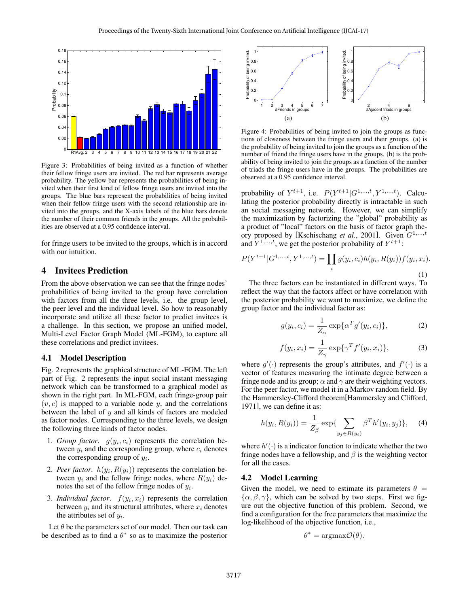

Figure 3: Probabilities of being invited as a function of whether their fellow fringe users are invited. The red bar represents average probability. The yellow bar represents the probabilities of being invited when their first kind of fellow fringe users are invited into the groups. The blue bars represent the probabilities of being invited when their fellow fringe users with the second relationship are invited into the groups, and the X-axis labels of the blue bars denote the number of their common friends in the groups. All the probabilities are observed at a 0.95 confidence interval.

for fringe users to be invited to the groups, which is in accord with our intuition.

# 4 Invitees Prediction

From the above observation we can see that the fringe nodes' probabilities of being invited to the group have correlation with factors from all the three levels, i.e. the group level, the peer level and the individual level. So how to reasonably incorporate and utilize all these factor to predict invitees is a challenge. In this section, we propose an unified model, Multi-Level Factor Graph Model (ML-FGM), to capture all these correlations and predict invitees.

### 4.1 Model Description

Fig. 2 represents the graphical structure of ML-FGM. The left part of Fig. 2 represents the input social instant messaging network which can be transformed to a graphical model as shown in the right part. In ML-FGM, each fringe-group pair  $(v, c)$  is mapped to a variable node y, and the correlations between the label of  $y$  and all kinds of factors are modeled as factor nodes. Corresponding to the three levels, we design the following three kinds of factor nodes.

- 1. *Group factor*.  $g(y_i, c_i)$  represents the correlation between  $y_i$  and the corresponding group, where  $c_i$  denotes the corresponding group of  $y_i$ .
- 2. *Peer factor.*  $h(y_i, R(y_i))$  represents the correlation between  $y_i$  and the fellow fringe nodes, where  $R(y_i)$  denotes the set of the fellow fringe nodes of  $y_i$ .
- 3. *Individual factor*.  $f(y_i, x_i)$  represents the correlation between  $y_i$  and its structural attributes, where  $x_i$  denotes the attributes set of  $y_i$ .

Let  $\theta$  be the parameters set of our model. Then our task can be described as to find a  $\theta^*$  so as to maximize the posterior



Figure 4: Probabilities of being invited to join the groups as functions of closeness between the fringe users and their groups. (a) is the probability of being invited to join the groups as a function of the number of friend the fringe users have in the groups. (b) is the probability of being invited to join the groups as a function of the number of triads the fringe users have in the groups. The probabilities are observed at a 0.95 confidence interval.

probability of  $Y^{t+1}$ , i.e.  $P(Y^{t+1}|G^{1,...,t}, Y^{1,...,t})$ . Calculating the posterior probability directly is intractable in such an social messaging network. However, we can simplify the maximization by factorizing the "global" probability as a product of "local" factors on the basis of factor graph theory proposed by [Kschischang *et al.*, 2001]. Given  $G^{1,...,t}$ and  $Y^{1,...,t}$ , we get the posterior probability of  $Y^{t+1}$ :

$$
P(Y^{t+1}|G^{1,...,t}, Y^{1,...,t}) = \prod_{i} g(y_i, c_i)h(y_i, R(y_i))f(y_i, x_i).
$$
\n(1)

The three factors can be instantiated in different ways. To reflect the way that the factors affect or have correlation with the posterior probability we want to maximize, we define the group factor and the individual factor as:

$$
g(y_i, c_i) = \frac{1}{Z_{\alpha}} \exp{\{\alpha^T g'(y_i, c_i)\}},
$$
 (2)

$$
f(y_i, x_i) = \frac{1}{Z_{\gamma}} \exp{\lbrace \gamma^T f'(y_i, x_i) \rbrace}, \tag{3}
$$

where  $g'(\cdot)$  represents the group's attributes, and  $f'(\cdot)$  is a vector of features measuring the intimate degree between a fringe node and its group;  $\alpha$  and  $\gamma$  are their weighting vectors. For the peer factor, we model it in a Markov random field. By the Hammersley-Clifford theorem[Hammersley and Clifford, 1971], we can define it as:

$$
h(y_i, R(y_i)) = \frac{1}{Z_{\beta}} \exp\{\sum_{y_j \in R(y_i)} \beta^T h'(y_i, y_j)\},\tag{4}
$$

where  $h'(\cdot)$  is a indicator function to indicate whether the two fringe nodes have a fellowship, and  $\beta$  is the weighting vector for all the cases.

#### 4.2 Model Learning

Given the model, we need to estimate its parameters  $\theta =$  $\{\alpha, \beta, \gamma\}$ , which can be solved by two steps. First we figure out the objective function of this problem. Second, we find a configuration for the free parameters that maximize the log-likelihood of the objective function, i.e.,

$$
\theta^* = \operatorname{argmax} \mathcal{O}(\theta).
$$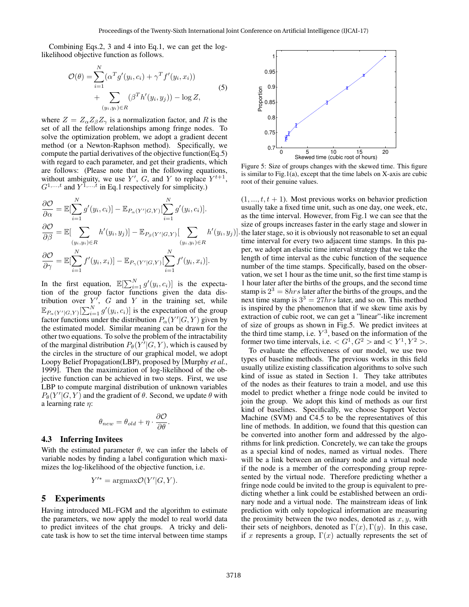Combining Eqs.2, 3 and 4 into Eq.1, we can get the loglikelihood objective function as follows.

$$
\mathcal{O}(\theta) = \sum_{i=1}^{N} (\alpha^T g'(y_i, c_i) + \gamma^T f'(y_i, x_i)) + \sum_{(y_i, y_i) \in R} (\beta^T h'(y_i, y_j)) - \log Z,
$$
\n(5)

where  $Z = Z_{\alpha}Z_{\beta}Z_{\gamma}$  is a normalization factor, and R is the set of all the fellow relationships among fringe nodes. To solve the optimization problem, we adopt a gradient decent method (or a Newton-Raphson method). Specifically, we compute the partial derivatives of the objective function(Eq.5) with regard to each parameter, and get their gradients, which are follows: (Please note that in the following equations, without ambiguity, we use Y', G, and Y to replace  $Y^{t+1}$ ,  $G^{1,...,t}$  and  $Y^{\overline{1},...,\overline{t}}$  in Eq.1 respectively for simplicity.)

$$
\frac{\partial \mathcal{O}}{\partial \alpha} = \mathbb{E}[\sum_{i=1}^{N} g'(y_i, c_i)] - \mathbb{E}_{P_{\alpha}(Y'|G,Y)}[\sum_{i=1}^{N} g'(y_i, c_i)].
$$
  

$$
\frac{\partial \mathcal{O}}{\partial \beta} = \mathbb{E}[\sum_{(y_i, y_i) \in R} h'(y_i, y_j)] - \mathbb{E}_{P_{\beta}(Y'|G,Y)}[\sum_{(y_i, y_i) \in R} h'(y_i, y_j)].
$$
  

$$
\frac{\partial \mathcal{O}}{\partial \gamma} = \mathbb{E}[\sum_{i=1}^{N} f'(y_i, x_i)] - \mathbb{E}_{P_{\gamma}(Y'|G,Y)}[\sum_{i=1}^{N} f'(y_i, x_i)].
$$

In the first equation,  $\mathbb{E}[\sum_{i=1}^{N} g'(y_i, c_i)]$  is the expectation of the group factor functions given the data distribution over  $Y'$ , G and Y in the training set, while  $\mathbb{E}_{P_{\alpha}(Y'|G,Y)}[\sum_{i=1}^N g'(y_i,c_i)]$  is the expectation of the group factor functions under the distribution  $P_\alpha(Y'|G, Y)$  given by the estimated model. Similar meaning can be drawn for the other two equations. To solve the problem of the intractability of the marginal distribution  $P_{\theta}(Y^{\gamma}|G, Y)$ , which is caused by the circles in the structure of our graphical model, we adopt Loopy Belief Propagation(LBP), proposed by [Murphy *et al.*, 1999]. Then the maximization of log-likelihood of the objective function can be achieved in two steps. First, we use LBP to compute marginal distribution of unknown variables  $P_{\theta}(Y'|G, Y)$  and the gradient of  $\theta$ . Second, we update  $\theta$  with a learning rate  $\eta$ :

$$
\theta_{new} = \theta_{old} + \eta \cdot \frac{\partial \mathcal{O}}{\partial \theta}.
$$

### 4.3 Inferring Invitees

With the estimated parameter  $\theta$ , we can infer the labels of variable nodes by finding a label configuration which maximizes the log-likelihood of the objective function, i.e.

$$
Y^{\prime *} = \operatorname{argmax} \mathcal{O}(Y^{\prime}|G, Y).
$$

### 5 Experiments

Having introduced ML-FGM and the algorithm to estimate the parameters, we now apply the model to real world data to predict invitees of the chat groups. A tricky and delicate task is how to set the time interval between time stamps



Figure 5: Size of groups changes with the skewed time. This figure is similar to Fig.1(a), except that the time labels on  $X$ -axis are cubic root of their genuine values.

 $(1, ..., t, t + 1)$ . Most previous works on behavior prediction usually take a fixed time unit, such as one day, one week, etc, as the time interval. However, from Fig.1 we can see that the size of groups increases faster in the early stage and slower in the later stage, so it is obviously not reasonable to set an equal time interval for every two adjacent time stamps. In this paper, we adopt an elastic time interval strategy that we take the length of time interval as the cubic function of the sequence number of the time stamps. Specifically, based on the observation, we set 1 hour as the time unit, so the first time stamp is 1 hour later after the births of the groups, and the second time stamp is  $2^3 = 8 hrs$  later after the births of the groups, and the next time stamp is  $3^3 = 27hrs$  later, and so on. This method is inspired by the phenomenon that if we skew time axis by extraction of cubic root, we can get a "linear"-like increment of size of groups as shown in Fig.5. We predict invitees at the third time stamp, i.e.  $Y^3$ , based on the information of the former two time intervals, i.e.  $\langle G^1, G^2 \rangle$  and  $\langle Y^1, Y^2 \rangle$ .

To evaluate the effectiveness of our model, we use two types of baseline methods. The previous works in this field usually utilize existing classification algorithms to solve such kind of issue as stated in Section 1. They take attributes of the nodes as their features to train a model, and use this model to predict whether a fringe node could be invited to join the group. We adopt this kind of methods as our first kind of baselines. Specifically, we choose Support Vector Machine (SVM) and C4.5 to be the representatives of this line of methods. In addition, we found that this question can be converted into another form and addressed by the algorithms for link prediction. Concretely, we can take the groups as a special kind of nodes, named as virtual nodes. There will be a link between an ordinary node and a virtual node if the node is a member of the corresponding group represented by the virtual node. Therefore predicting whether a fringe node could be invited to the group is equivalent to predicting whether a link could be established between an ordinary node and a virtual node. The mainstream ideas of link prediction with only topological information are measuring the proximity between the two nodes, denoted as  $x, y$ , with their sets of neighbors, denoted as  $\Gamma(x)$ ,  $\Gamma(y)$ . In this case, if x represents a group,  $\Gamma(x)$  actually represents the set of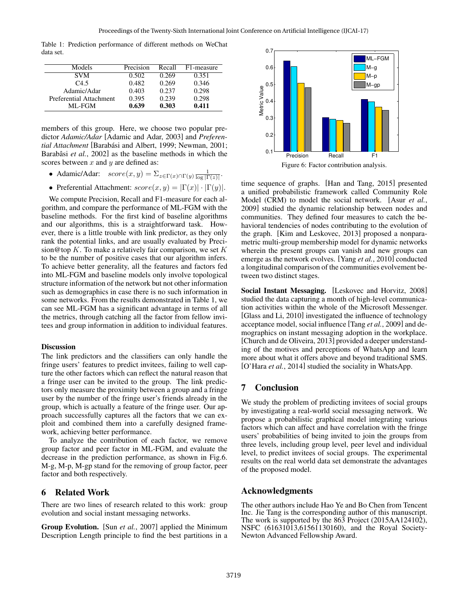Table 1: Prediction performance of different methods on WeChat data set.

| Models                  | Precision | Recall | F1-measure |
|-------------------------|-----------|--------|------------|
| <b>SVM</b>              | 0.502     | 0.269  | 0.351      |
| $C_{4.5}$               | 0.482     | 0.269  | 0.346      |
| Adamic/Adar             | 0.403     | 0.237  | 0.298      |
| Preferential Attachment | 0.395     | 0.239  | 0.298      |
| ML-FGM                  | 0.639     | 0.303  | 0.411      |

members of this group. Here, we choose two popular predictor *Adamic/Adar* [Adamic and Adar, 2003] and *Preferential Attachment* [Barabási and Albert, 1999; Newman, 2001; Barabâsi *et al.*, 2002] as the baseline methods in which the scores between  $x$  and  $y$  are defined as:

- Adamic/Adar:  $score(x, y) = \sum_{z \in \Gamma(x) \cap \Gamma(y)} \frac{1}{\log |\Gamma(z)|}$ .
- Preferential Attachment:  $score(x, y) = |\Gamma(x)| \cdot |\Gamma(y)|$ .

We compute Precision, Recall and F1-measure for each algorithm, and compare the performance of ML-FGM with the baseline methods. For the first kind of baseline algorithms and our algorithms, this is a straightforward task. However, there is a little trouble with link predictor, as they only rank the potential links, and are usually evaluated by Precision@top K. To make a relatively fair comparison, we set K to be the number of positive cases that our algorithm infers. To achieve better generality, all the features and factors fed into ML-FGM and baseline models only involve topological structure information of the network but not other information such as demographics in case there is no such information in some networks. From the results demonstrated in Table 1, we can see ML-FGM has a significant advantage in terms of all the metrics, through catching all the factor from fellow invitees and group information in addition to individual features.

#### **Discussion**

The link predictors and the classifiers can only handle the fringe users' features to predict invitees, failing to well capture the other factors which can reflect the natural reason that a fringe user can be invited to the group. The link predictors only measure the proximity between a group and a fringe user by the number of the fringe user's friends already in the group, which is actually a feature of the fringe user. Our approach successfully captures all the factors that we can exploit and combined them into a carefully designed framework, achieving better performance.

To analyze the contribution of each factor, we remove group factor and peer factor in ML-FGM, and evaluate the decrease in the prediction performance, as shown in Fig.6. M-g, M-p, M-gp stand for the removing of group factor, peer factor and both respectively.

# 6 Related Work

There are two lines of research related to this work: group evolution and social instant messaging networks.

Group Evolution. [Sun *et al.*, 2007] applied the Minimum Description Length principle to find the best partitions in a



time sequence of graphs. [Han and Tang, 2015] presented a unified probabilistic framework called Community Role Model (CRM) to model the social network. [Asur *et al.*, 2009] studied the dynamic relationship between nodes and communities. They defined four measures to catch the behavioral tendencies of nodes contributing to the evolution of the graph. [Kim and Leskovec, 2013] proposed a nonparametric multi-group membership model for dynamic networks wherein the present groups can vanish and new groups can emerge as the network evolves. [Yang *et al.*, 2010] conducted a longitudinal comparison of the communities evolvement between two distinct stages.

Social Instant Messaging. [Leskovec and Horvitz, 2008] studied the data capturing a month of high-level communication activities within the whole of the Microsoft Messenger. [Glass and Li, 2010] investigated the influence of technology acceptance model, social influence [Tang *et al.*, 2009] and demographics on instant messaging adoption in the workplace. [Church and de Oliveira, 2013] provided a deeper understanding of the motives and perceptions of WhatsApp and learn more about what it offers above and beyond traditional SMS. [O'Hara *et al.*, 2014] studied the sociality in WhatsApp.

# 7 Conclusion

We study the problem of predicting invitees of social groups by investigating a real-world social messaging network. We propose a probabilistic graphical model integrating various factors which can affect and have correlation with the fringe users' probabilities of being invited to join the groups from three levels, including group level, peer level and individual level, to predict invitees of social groups. The experimental results on the real world data set demonstrate the advantages of the proposed model.

# Acknowledgments

The other authors include Hao Ye and Bo Chen from Tencent Inc. Jie Tang is the corresponding author of this manuscript. The work is supported by the 863 Project (2015AA124102), NSFC (61631013,61561130160), and the Royal Society-Newton Advanced Fellowship Award.